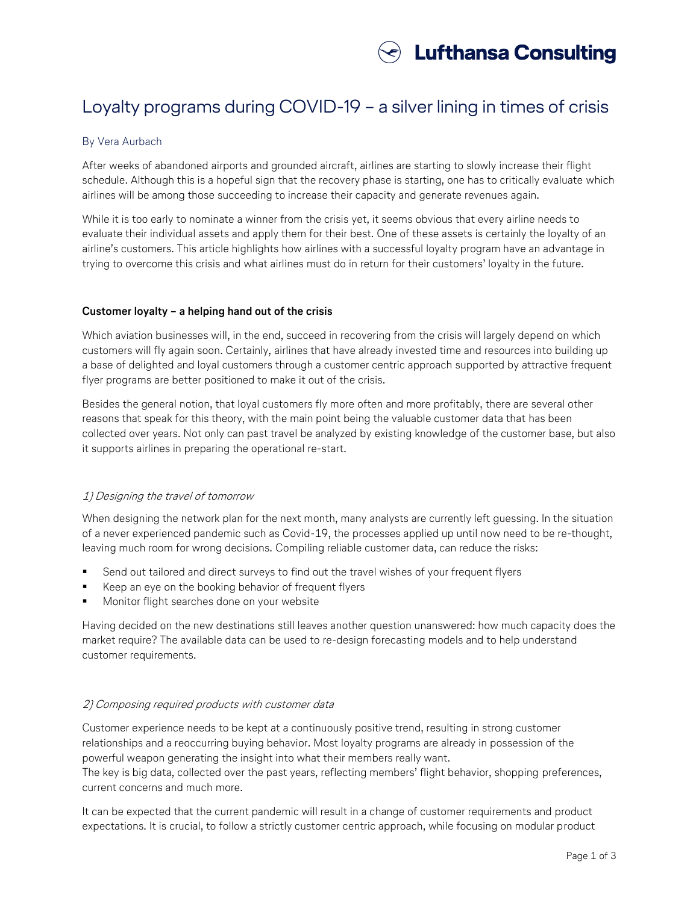

# Loyalty programs during COVID-19 – a silver lining in times of crisis

# By Vera Aurbach

After weeks of abandoned airports and grounded aircraft, airlines are starting to slowly increase their flight schedule. Although this is a hopeful sign that the recovery phase is starting, one has to critically evaluate which airlines will be among those succeeding to increase their capacity and generate revenues again.

While it is too early to nominate a winner from the crisis yet, it seems obvious that every airline needs to evaluate their individual assets and apply them for their best. One of these assets is certainly the loyalty of an airline's customers. This article highlights how airlines with a successful loyalty program have an advantage in trying to overcome this crisis and what airlines must do in return for their customers' loyalty in the future.

## **Customer loyalty – a helping hand out of the crisis**

Which aviation businesses will, in the end, succeed in recovering from the crisis will largely depend on which customers will fly again soon. Certainly, airlines that have already invested time and resources into building up a base of delighted and loyal customers through a customer centric approach supported by attractive frequent flyer programs are better positioned to make it out of the crisis.

Besides the general notion, that loyal customers fly more often and more profitably, there are several other reasons that speak for this theory, with the main point being the valuable customer data that has been collected over years. Not only can past travel be analyzed by existing knowledge of the customer base, but also it supports airlines in preparing the operational re-start.

# 1) Designing the travel of tomorrow

When designing the network plan for the next month, many analysts are currently left guessing. In the situation of a never experienced pandemic such as Covid-19, the processes applied up until now need to be re-thought, leaving much room for wrong decisions. Compiling reliable customer data, can reduce the risks:

- Send out tailored and direct surveys to find out the travel wishes of your frequent flyers
- Keep an eye on the booking behavior of frequent flyers
- Monitor flight searches done on your website

Having decided on the new destinations still leaves another question unanswered: how much capacity does the market require? The available data can be used to re-design forecasting models and to help understand customer requirements.

## 2) Composing required products with customer data

Customer experience needs to be kept at a continuously positive trend, resulting in strong customer relationships and a reoccurring buying behavior. Most loyalty programs are already in possession of the powerful weapon generating the insight into what their members really want.

The key is big data, collected over the past years, reflecting members' flight behavior, shopping preferences, current concerns and much more.

It can be expected that the current pandemic will result in a change of customer requirements and product expectations. It is crucial, to follow a strictly customer centric approach, while focusing on modular product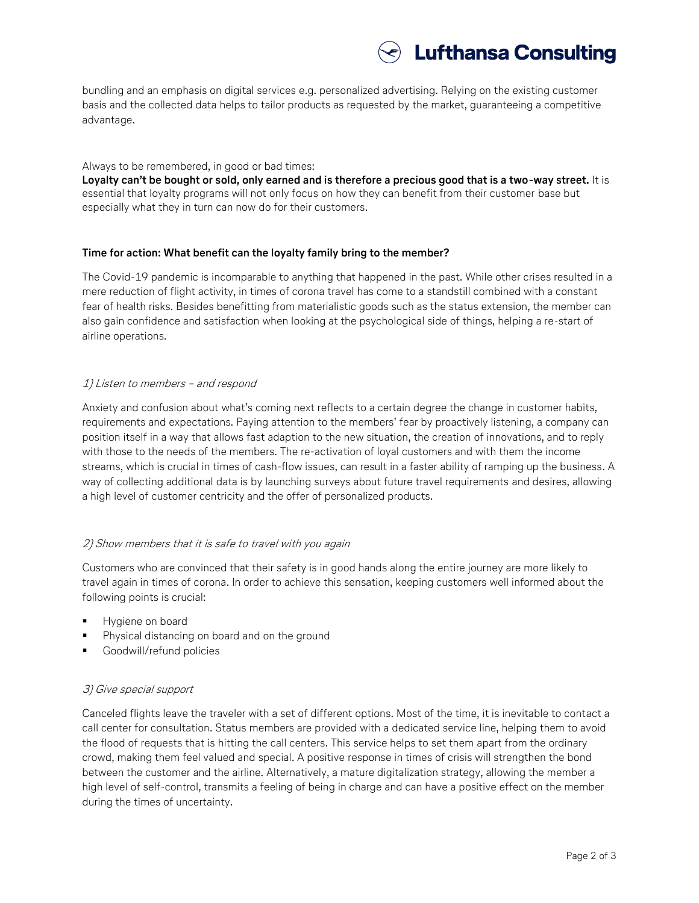

bundling and an emphasis on digital services e.g. personalized advertising. Relying on the existing customer basis and the collected data helps to tailor products as requested by the market, guaranteeing a competitive advantage.

Always to be remembered, in good or bad times:

**Loyalty can't be bought or sold, only earned and is therefore a precious good that is a two-way street.** It is essential that loyalty programs will not only focus on how they can benefit from their customer base but especially what they in turn can now do for their customers.

## **Time for action: What benefit can the loyalty family bring to the member?**

The Covid-19 pandemic is incomparable to anything that happened in the past. While other crises resulted in a mere reduction of flight activity, in times of corona travel has come to a standstill combined with a constant fear of health risks. Besides benefitting from materialistic goods such as the status extension, the member can also gain confidence and satisfaction when looking at the psychological side of things, helping a re-start of airline operations.

## 1) Listen to members – and respond

Anxiety and confusion about what's coming next reflects to a certain degree the change in customer habits, requirements and expectations. Paying attention to the members' fear by proactively listening, a company can position itself in a way that allows fast adaption to the new situation, the creation of innovations, and to reply with those to the needs of the members. The re-activation of loyal customers and with them the income streams, which is crucial in times of cash-flow issues, can result in a faster ability of ramping up the business. A way of collecting additional data is by launching surveys about future travel requirements and desires, allowing a high level of customer centricity and the offer of personalized products.

## 2) Show members that it is safe to travel with you again

Customers who are convinced that their safety is in good hands along the entire journey are more likely to travel again in times of corona. In order to achieve this sensation, keeping customers well informed about the following points is crucial:

- Hygiene on board
- Physical distancing on board and on the ground
- Goodwill/refund policies

# 3) Give special support

Canceled flights leave the traveler with a set of different options. Most of the time, it is inevitable to contact a call center for consultation. Status members are provided with a dedicated service line, helping them to avoid the flood of requests that is hitting the call centers. This service helps to set them apart from the ordinary crowd, making them feel valued and special. A positive response in times of crisis will strengthen the bond between the customer and the airline. Alternatively, a mature digitalization strategy, allowing the member a high level of self-control, transmits a feeling of being in charge and can have a positive effect on the member during the times of uncertainty.